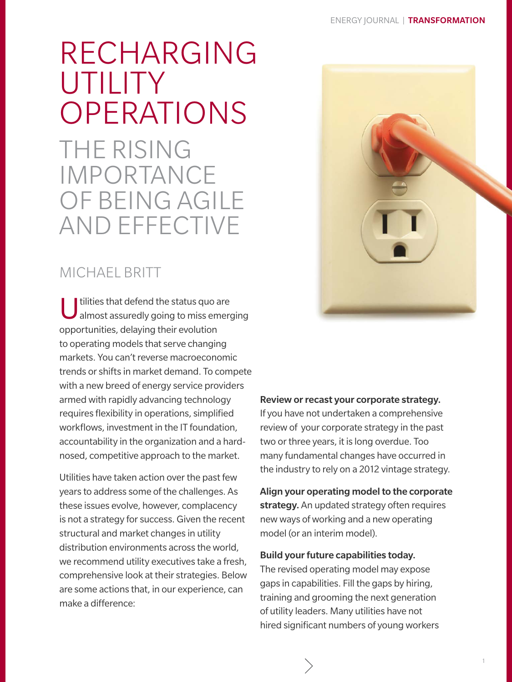# <span id="page-0-0"></span>RECHARGING UTILITY OPERATIONS

THE RISING IMPORTANCE OF BEING AGILE AND EFFECTIVE

# MICHAEL BRITT

U tilities that defend the status quo are<br>almost assuredly going to miss emerging opportunities, delaying their evolution to operating models that serve changing markets. You can't reverse macroeconomic trends or shifts in market demand. To compete with a new breed of energy service providers armed with rapidly advancing technology requires flexibility in operations, simplified workflows, investment in the IT foundation, accountability in the organization and a hardnosed, competitive approach to the market.

Utilities have taken action over the past few years to address some of the challenges. As these issues evolve, however, complacency is not a strategy for success. Given the recent structural and market changes in utility distribution environments across the world, we recommend utility executives take a fresh, comprehensive look at their strategies. Below are some actions that, in our experience, can make a difference:



## Review or recast your corporate strategy.

If you have not undertaken a comprehensive review of your corporate strategy in the past two or three years, it is long overdue. Too many fundamental changes have occurred in the industry to rely on a 2012 vintage strategy.

Align your operating model to the corporate strategy. An updated strategy often requires new ways of working and a new operating model (or an interim model).

#### Build your future capabilities today.

The revised operating model may expose gaps in capabilities. Fill the gaps by hiring, training and grooming the next generation of utility leaders. Many utilities have not hired significant numbers of young workers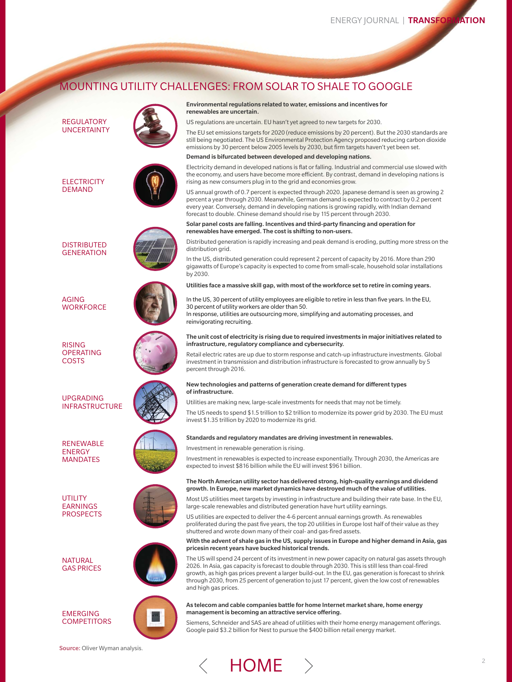## MOUNTING UTILITY CHALLENGES: FROM SOLAR TO SHALE TO GOOGLE



## Environmental regulations related to water, emissions and incentives for

US regulations are uncertain. EU hasn't yet agreed to new targets for 2030.

The EU set emissions targets for 2020 (reduce emissions by 20 percent). But the 2030 standards are still being negotiated. The US Environmental Protection Agency proposed reducing carbon dioxide emissions by 30 percent below 2005 levels by 2030, but firm targets haven't yet been set.

#### Demand is bifurcated between developed and developing nations.

Electricity demand in developed nations is flat or falling. Industrial and commercial use slowed with the economy, and users have become more efficient. By contrast, demand in developing nations is rising as new consumers plug in to the grid and economies grow.

US annual growth of 0.7 percent is expected through 2020. Japanese demand is seen as growing 2 percent a year through 2030. Meanwhile, German demand is expected to contract by 0.2 percent every year. Conversely, demand in developing nations is growing rapidly, with Indian demand forecast to double. Chinese demand should rise by 115 percent through 2030.

Solar panel costs are falling. Incentives and third-party financing and operation for renewables have emerged. The cost is shifting to non-users.

Distributed generation is rapidly increasing and peak demand is eroding, putting more stress on the

In the US, distributed generation could represent 2 percent of capacity by 2016. More than 290 gigawatts of Europe's capacity is expected to come from small-scale, household solar installations

Utilities face a massive skill gap, with most of the workforce set to retire in coming years.

In the US, 30 percent of utility employees are eligible to retire in less than five years. In the EU, 30 percent of utility workers are older than 50. In response, utilities are outsourcing more, simplifying and automating processes, and

#### The unit cost of electricity is rising due to required investments in major initiatives related to infrastructure, regulatory compliance and cybersecurity.

Retail electric rates are up due to storm response and catch-up infrastructure investments. Global investment in transmission and distribution infrastructure is forecasted to grow annually by 5

## New technologies and patterns of generation create demand for different types

Utilities are making new, large-scale investments for needs that may not be timely.

The US needs to spend \$1.5 trillion to \$2 trillion to modernize its power grid by 2030. The EU must invest \$1.35 trillion by 2020 to modernize its grid.

Standards and regulatory mandates are driving investment in renewables.

Investment in renewable generation is rising.

Investment in renewables is expected to increase exponentially. Through 2030, the Americas are expected to invest \$816 billion while the EU will invest \$961 billion.

#### As telecom and cable companies battle for home Internet market share, home energy management is becoming an attractive service offering.

Siemens, Schneider and SAS are ahead of utilities with their home energy management offerings. Google paid \$3.2 billion for Nest to pursue the \$400 billion retail energy market.